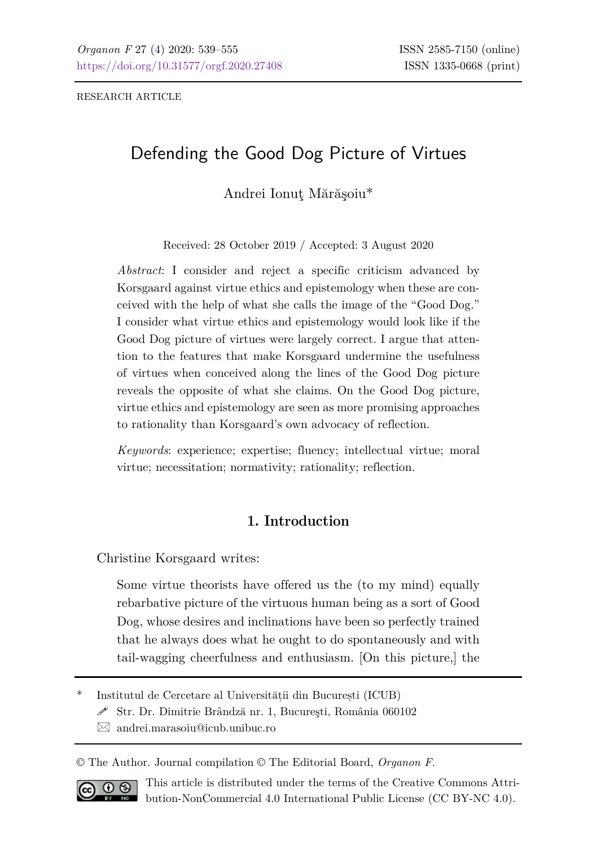RESEARCH ARTICLE

# Defending the Good Dog Picture of Virtues

# Andrei Ionuţ Mărăşoiu\*

Received: 28 October 2019 / Accepted: 3 August 2020

*Abstract*: I consider and reject a specific criticism advanced by Korsgaard against virtue ethics and epistemology when these are conceived with the help of what she calls the image of the "Good Dog." I consider what virtue ethics and epistemology would look like if the Good Dog picture of virtues were largely correct. I argue that attention to the features that make Korsgaard undermine the usefulness of virtues when conceived along the lines of the Good Dog picture reveals the opposite of what she claims. On the Good Dog picture, virtue ethics and epistemology are seen as more promising approaches to rationality than Korsgaard's own advocacy of reflection.

*Keywords*: experience; expertise; fluency; intellectual virtue; moral virtue; necessitation; normativity; rationality; reflection.

# **1. Introduction**

Christine Korsgaard writes:

Some virtue theorists have offered us the (to my mind) equally rebarbative picture of the virtuous human being as a sort of Good Dog, whose desires and inclinations have been so perfectly trained that he always does what he ought to do spontaneously and with tail-wagging cheerfulness and enthusiasm. [On this picture,] the

\* Institutul de Cercetare al Universității din București (ICUB)

 $\mathscr S$ Str. Dr. Dimitrie Brândză nr. 1, București, România 060102

 $\boxtimes$  [andrei.marasoiu@icub.unibuc.ro](mailto:andrei.marasoiu@icub.unibuc.ro)

© The Author. Journal compilation © The Editorial Board, *Organon F*.



This article is distributed under the terms of the Creative Commons Attribution-NonCommercial 4.0 International Public License (CC BY-NC 4.0).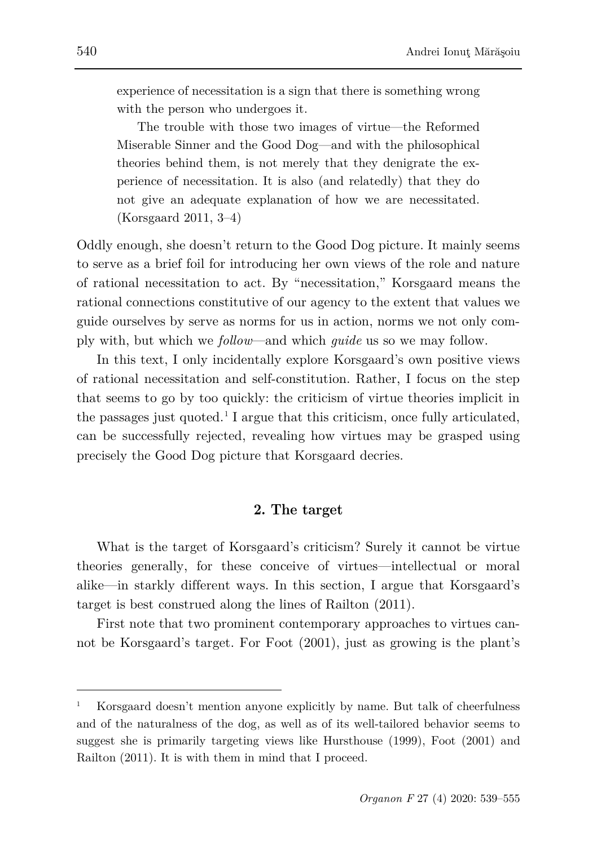experience of necessitation is a sign that there is something wrong with the person who undergoes it.

The trouble with those two images of virtue—the Reformed Miserable Sinner and the Good Dog—and with the philosophical theories behind them, is not merely that they denigrate the experience of necessitation. It is also (and relatedly) that they do not give an adequate explanation of how we are necessitated. (Korsgaard 2011, 3–4)

Oddly enough, she doesn't return to the Good Dog picture. It mainly seems to serve as a brief foil for introducing her own views of the role and nature of rational necessitation to act. By "necessitation," Korsgaard means the rational connections constitutive of our agency to the extent that values we guide ourselves by serve as norms for us in action, norms we not only comply with, but which we *follow*—and which *guide* us so we may follow.

In this text, I only incidentally explore Korsgaard's own positive views of rational necessitation and self-constitution. Rather, I focus on the step that seems to go by too quickly: the criticism of virtue theories implicit in the passages just quoted.<sup>[1](#page-1-0)</sup> I argue that this criticism, once fully articulated, can be successfully rejected, revealing how virtues may be grasped using precisely the Good Dog picture that Korsgaard decries.

# **2. The target**

What is the target of Korsgaard's criticism? Surely it cannot be virtue theories generally, for these conceive of virtues—intellectual or moral alike—in starkly different ways. In this section, I argue that Korsgaard's target is best construed along the lines of Railton (2011).

First note that two prominent contemporary approaches to virtues cannot be Korsgaard's target. For Foot (2001), just as growing is the plant's

<span id="page-1-0"></span><sup>1</sup> Korsgaard doesn't mention anyone explicitly by name. But talk of cheerfulness and of the naturalness of the dog, as well as of its well-tailored behavior seems to suggest she is primarily targeting views like Hursthouse (1999), Foot (2001) and Railton (2011). It is with them in mind that I proceed.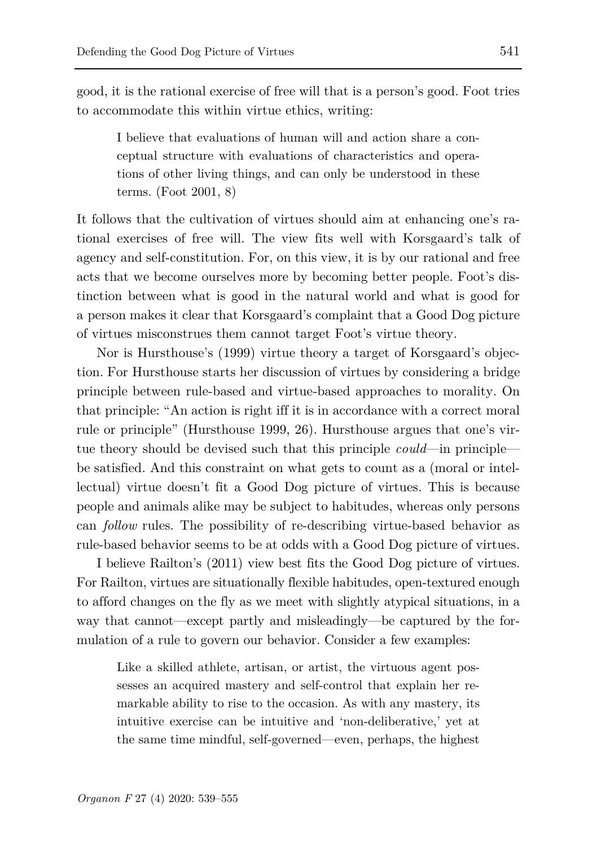good, it is the rational exercise of free will that is a person's good. Foot tries to accommodate this within virtue ethics, writing:

I believe that evaluations of human will and action share a conceptual structure with evaluations of characteristics and operations of other living things, and can only be understood in these terms. (Foot 2001, 8)

It follows that the cultivation of virtues should aim at enhancing one's rational exercises of free will. The view fits well with Korsgaard's talk of agency and self-constitution. For, on this view, it is by our rational and free acts that we become ourselves more by becoming better people. Foot's distinction between what is good in the natural world and what is good for a person makes it clear that Korsgaard's complaint that a Good Dog picture of virtues misconstrues them cannot target Foot's virtue theory.

Nor is Hursthouse's (1999) virtue theory a target of Korsgaard's objection. For Hursthouse starts her discussion of virtues by considering a bridge principle between rule-based and virtue-based approaches to morality. On that principle: "An action is right iff it is in accordance with a correct moral rule or principle" (Hursthouse 1999, 26). Hursthouse argues that one's virtue theory should be devised such that this principle *could*—in principle be satisfied. And this constraint on what gets to count as a (moral or intellectual) virtue doesn't fit a Good Dog picture of virtues. This is because people and animals alike may be subject to habitudes, whereas only persons can *follow* rules. The possibility of re-describing virtue-based behavior as rule-based behavior seems to be at odds with a Good Dog picture of virtues.

I believe Railton's (2011) view best fits the Good Dog picture of virtues. For Railton, virtues are situationally flexible habitudes, open-textured enough to afford changes on the fly as we meet with slightly atypical situations, in a way that cannot—except partly and misleadingly—be captured by the formulation of a rule to govern our behavior. Consider a few examples:

Like a skilled athlete, artisan, or artist, the virtuous agent possesses an acquired mastery and self-control that explain her remarkable ability to rise to the occasion. As with any mastery, its intuitive exercise can be intuitive and 'non-deliberative,' yet at the same time mindful, self-governed—even, perhaps, the highest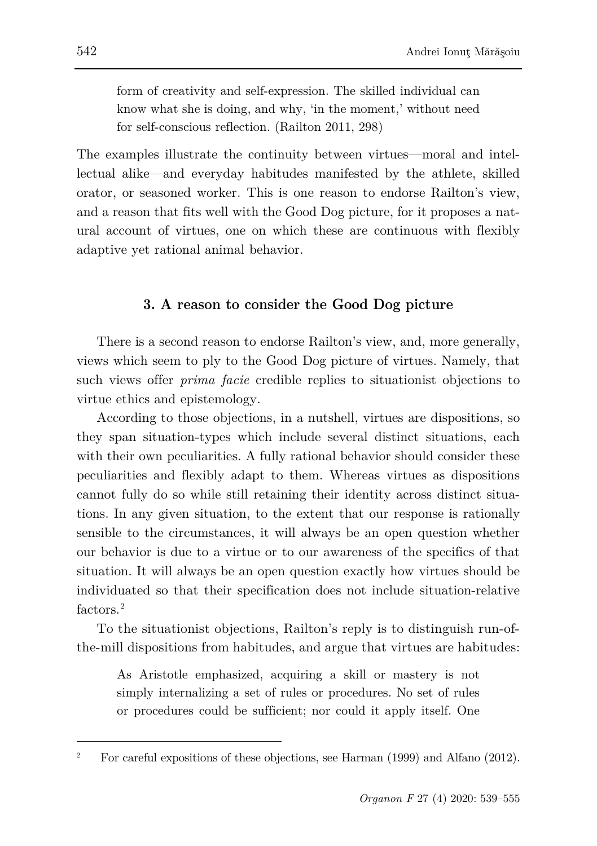form of creativity and self-expression. The skilled individual can know what she is doing, and why, 'in the moment,' without need for self-conscious reflection. (Railton 2011, 298)

The examples illustrate the continuity between virtues—moral and intellectual alike—and everyday habitudes manifested by the athlete, skilled orator, or seasoned worker. This is one reason to endorse Railton's view, and a reason that fits well with the Good Dog picture, for it proposes a natural account of virtues, one on which these are continuous with flexibly adaptive yet rational animal behavior.

# **3. A reason to consider the Good Dog picture**

There is a second reason to endorse Railton's view, and, more generally, views which seem to ply to the Good Dog picture of virtues. Namely, that such views offer *prima facie* credible replies to situationist objections to virtue ethics and epistemology.

According to those objections, in a nutshell, virtues are dispositions, so they span situation-types which include several distinct situations, each with their own peculiarities. A fully rational behavior should consider these peculiarities and flexibly adapt to them. Whereas virtues as dispositions cannot fully do so while still retaining their identity across distinct situations. In any given situation, to the extent that our response is rationally sensible to the circumstances, it will always be an open question whether our behavior is due to a virtue or to our awareness of the specifics of that situation. It will always be an open question exactly how virtues should be individuated so that their specification does not include situation-relative factors<sup>[2](#page-3-0)</sup>

To the situationist objections, Railton's reply is to distinguish run-ofthe-mill dispositions from habitudes, and argue that virtues are habitudes:

As Aristotle emphasized, acquiring a skill or mastery is not simply internalizing a set of rules or procedures. No set of rules or procedures could be sufficient; nor could it apply itself. One

<span id="page-3-0"></span><sup>&</sup>lt;sup>2</sup> For careful expositions of these objections, see Harman  $(1999)$  and Alfano  $(2012)$ .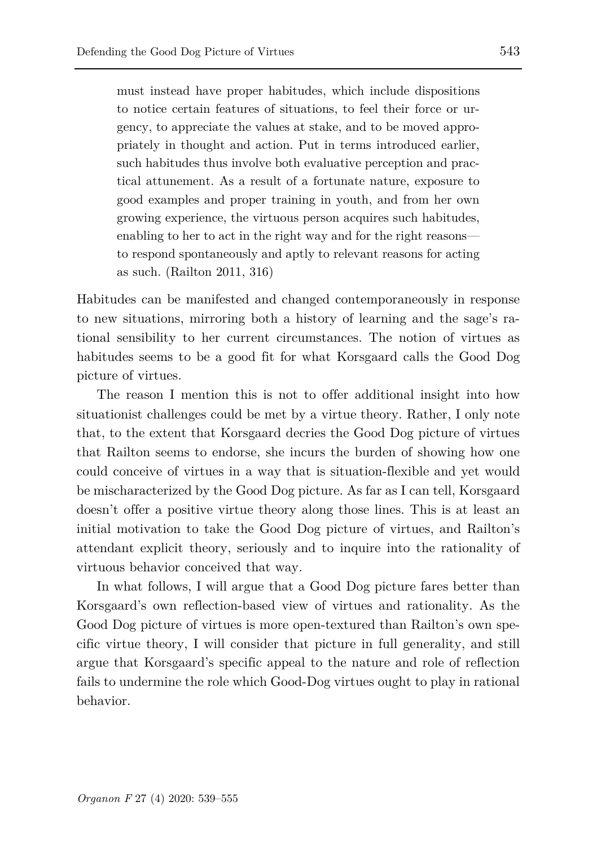must instead have proper habitudes, which include dispositions to notice certain features of situations, to feel their force or urgency, to appreciate the values at stake, and to be moved appropriately in thought and action. Put in terms introduced earlier, such habitudes thus involve both evaluative perception and practical attunement. As a result of a fortunate nature, exposure to good examples and proper training in youth, and from her own growing experience, the virtuous person acquires such habitudes, enabling to her to act in the right way and for the right reasons to respond spontaneously and aptly to relevant reasons for acting as such. (Railton 2011, 316)

Habitudes can be manifested and changed contemporaneously in response to new situations, mirroring both a history of learning and the sage's rational sensibility to her current circumstances. The notion of virtues as habitudes seems to be a good fit for what Korsgaard calls the Good Dog picture of virtues.

The reason I mention this is not to offer additional insight into how situationist challenges could be met by a virtue theory. Rather, I only note that, to the extent that Korsgaard decries the Good Dog picture of virtues that Railton seems to endorse, she incurs the burden of showing how one could conceive of virtues in a way that is situation-flexible and yet would be mischaracterized by the Good Dog picture. As far as I can tell, Korsgaard doesn't offer a positive virtue theory along those lines. This is at least an initial motivation to take the Good Dog picture of virtues, and Railton's attendant explicit theory, seriously and to inquire into the rationality of virtuous behavior conceived that way.

In what follows, I will argue that a Good Dog picture fares better than Korsgaard's own reflection-based view of virtues and rationality. As the Good Dog picture of virtues is more open-textured than Railton's own specific virtue theory, I will consider that picture in full generality, and still argue that Korsgaard's specific appeal to the nature and role of reflection fails to undermine the role which Good-Dog virtues ought to play in rational behavior.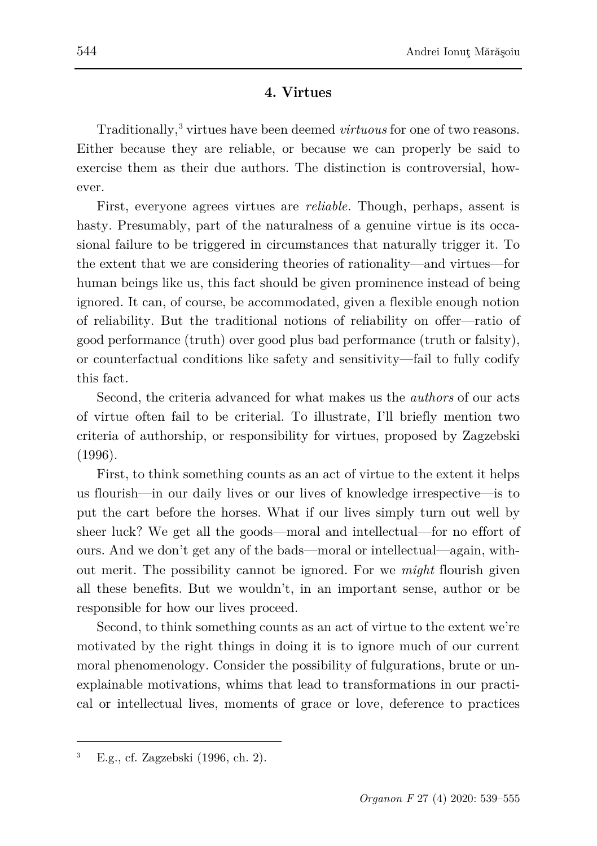# **4. Virtues**

Traditionally,[3](#page-5-0) virtues have been deemed *virtuous* for one of two reasons. Either because they are reliable, or because we can properly be said to exercise them as their due authors. The distinction is controversial, however.

First, everyone agrees virtues are *reliable.* Though, perhaps, assent is hasty. Presumably, part of the naturalness of a genuine virtue is its occasional failure to be triggered in circumstances that naturally trigger it. To the extent that we are considering theories of rationality—and virtues—for human beings like us, this fact should be given prominence instead of being ignored. It can, of course, be accommodated, given a flexible enough notion of reliability. But the traditional notions of reliability on offer—ratio of good performance (truth) over good plus bad performance (truth or falsity), or counterfactual conditions like safety and sensitivity—fail to fully codify this fact.

Second, the criteria advanced for what makes us the *authors* of our acts of virtue often fail to be criterial. To illustrate, I'll briefly mention two criteria of authorship, or responsibility for virtues, proposed by Zagzebski (1996).

First, to think something counts as an act of virtue to the extent it helps us flourish—in our daily lives or our lives of knowledge irrespective—is to put the cart before the horses. What if our lives simply turn out well by sheer luck? We get all the goods—moral and intellectual—for no effort of ours. And we don't get any of the bads—moral or intellectual—again, without merit. The possibility cannot be ignored. For we *might* flourish given all these benefits. But we wouldn't, in an important sense, author or be responsible for how our lives proceed.

Second, to think something counts as an act of virtue to the extent we're motivated by the right things in doing it is to ignore much of our current moral phenomenology. Consider the possibility of fulgurations, brute or unexplainable motivations, whims that lead to transformations in our practical or intellectual lives, moments of grace or love, deference to practices

<span id="page-5-0"></span><sup>3</sup> E.g., cf. Zagzebski (1996, ch. 2).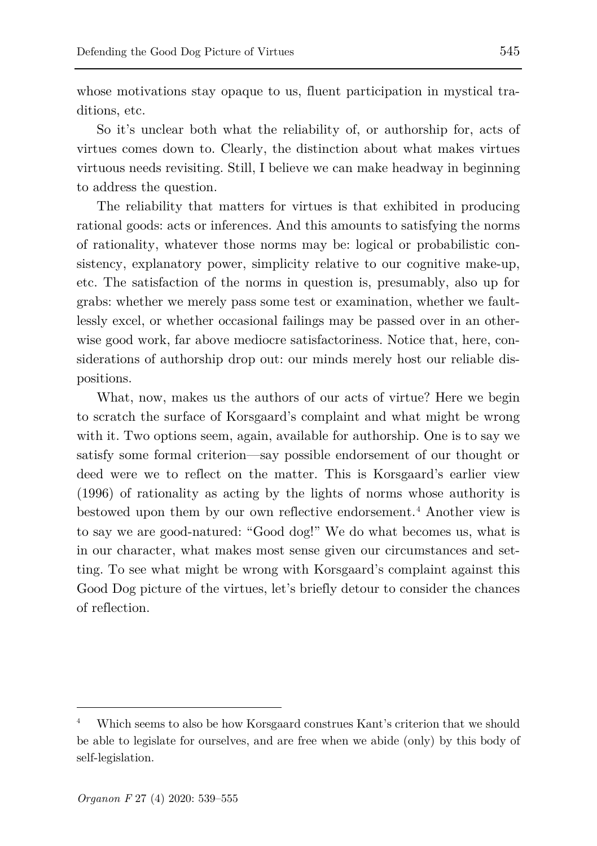whose motivations stay opaque to us, fluent participation in mystical traditions, etc.

So it's unclear both what the reliability of, or authorship for, acts of virtues comes down to. Clearly, the distinction about what makes virtues virtuous needs revisiting. Still, I believe we can make headway in beginning to address the question.

The reliability that matters for virtues is that exhibited in producing rational goods: acts or inferences. And this amounts to satisfying the norms of rationality, whatever those norms may be: logical or probabilistic consistency, explanatory power, simplicity relative to our cognitive make-up, etc. The satisfaction of the norms in question is, presumably, also up for grabs: whether we merely pass some test or examination, whether we faultlessly excel, or whether occasional failings may be passed over in an otherwise good work, far above mediocre satisfactoriness. Notice that, here, considerations of authorship drop out: our minds merely host our reliable dispositions.

What, now, makes us the authors of our acts of virtue? Here we begin to scratch the surface of Korsgaard's complaint and what might be wrong with it. Two options seem, again, available for authorship. One is to say we satisfy some formal criterion—say possible endorsement of our thought or deed were we to reflect on the matter. This is Korsgaard's earlier view (1996) of rationality as acting by the lights of norms whose authority is bestowed upon them by our own reflective endorsement.<sup>[4](#page-6-0)</sup> Another view is to say we are good-natured: "Good dog!" We do what becomes us, what is in our character, what makes most sense given our circumstances and setting. To see what might be wrong with Korsgaard's complaint against this Good Dog picture of the virtues, let's briefly detour to consider the chances of reflection.

<span id="page-6-0"></span><sup>4</sup> Which seems to also be how Korsgaard construes Kant's criterion that we should be able to legislate for ourselves, and are free when we abide (only) by this body of self-legislation.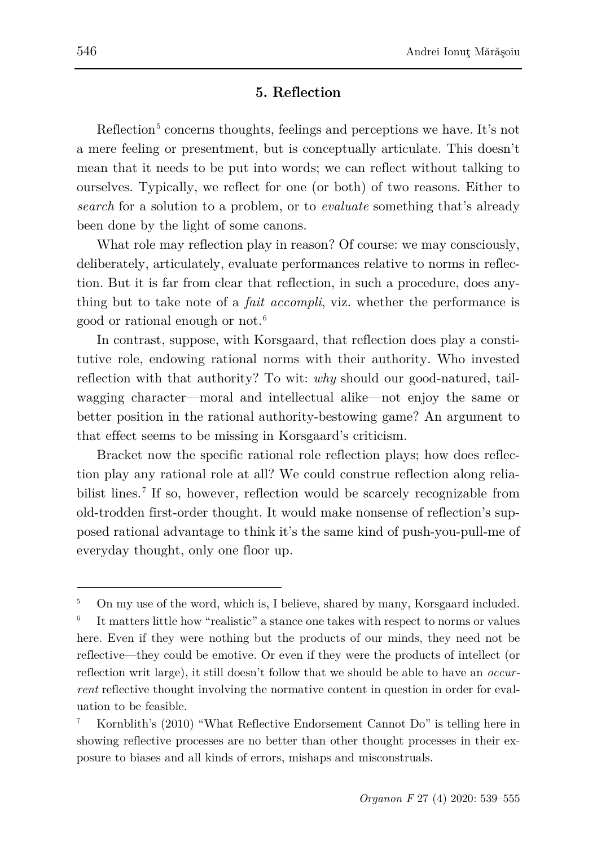# **5. Reflection**

Reflection<sup>[5](#page-7-0)</sup> concerns thoughts, feelings and perceptions we have. It's not a mere feeling or presentment, but is conceptually articulate. This doesn't mean that it needs to be put into words; we can reflect without talking to ourselves. Typically, we reflect for one (or both) of two reasons. Either to *search* for a solution to a problem, or to *evaluate* something that's already been done by the light of some canons.

What role may reflection play in reason? Of course: we may consciously, deliberately, articulately, evaluate performances relative to norms in reflection. But it is far from clear that reflection, in such a procedure, does anything but to take note of a *fait accompli*, viz. whether the performance is good or rational enough or not.[6](#page-7-1)

In contrast, suppose, with Korsgaard, that reflection does play a constitutive role, endowing rational norms with their authority. Who invested reflection with that authority? To wit: *why* should our good-natured, tailwagging character—moral and intellectual alike—not enjoy the same or better position in the rational authority-bestowing game? An argument to that effect seems to be missing in Korsgaard's criticism.

Bracket now the specific rational role reflection plays; how does reflection play any rational role at all? We could construe reflection along relia-bilist lines.<sup>[7](#page-7-2)</sup> If so, however, reflection would be scarcely recognizable from old-trodden first-order thought. It would make nonsense of reflection's supposed rational advantage to think it's the same kind of push-you-pull-me of everyday thought, only one floor up.

<span id="page-7-0"></span><sup>&</sup>lt;sup>5</sup> On my use of the word, which is, I believe, shared by many, Korsgaard included.

<span id="page-7-1"></span><sup>6</sup> It matters little how "realistic" a stance one takes with respect to norms or values here. Even if they were nothing but the products of our minds, they need not be reflective—they could be emotive. Or even if they were the products of intellect (or reflection writ large), it still doesn't follow that we should be able to have an *occurrent* reflective thought involving the normative content in question in order for evaluation to be feasible.

<span id="page-7-2"></span><sup>7</sup> Kornblith's (2010) "What Reflective Endorsement Cannot Do" is telling here in showing reflective processes are no better than other thought processes in their exposure to biases and all kinds of errors, mishaps and misconstruals.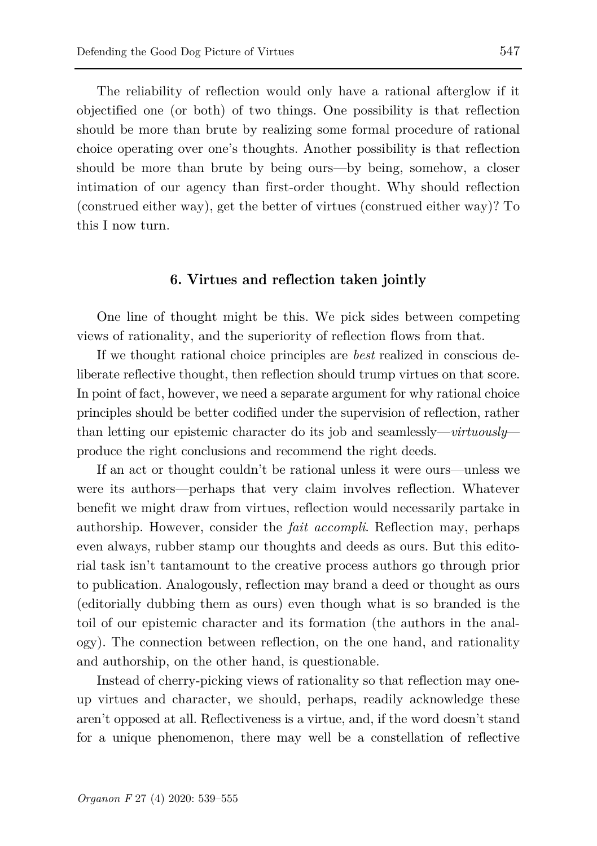The reliability of reflection would only have a rational afterglow if it objectified one (or both) of two things. One possibility is that reflection should be more than brute by realizing some formal procedure of rational choice operating over one's thoughts. Another possibility is that reflection should be more than brute by being ours—by being, somehow, a closer intimation of our agency than first-order thought. Why should reflection (construed either way), get the better of virtues (construed either way)? To this I now turn.

#### **6. Virtues and reflection taken jointly**

One line of thought might be this. We pick sides between competing views of rationality, and the superiority of reflection flows from that.

If we thought rational choice principles are *best* realized in conscious deliberate reflective thought, then reflection should trump virtues on that score. In point of fact, however, we need a separate argument for why rational choice principles should be better codified under the supervision of reflection, rather than letting our epistemic character do its job and seamlessly—*virtuously* produce the right conclusions and recommend the right deeds.

If an act or thought couldn't be rational unless it were ours—unless we were its authors—perhaps that very claim involves reflection. Whatever benefit we might draw from virtues, reflection would necessarily partake in authorship. However, consider the *fait accompli*. Reflection may, perhaps even always, rubber stamp our thoughts and deeds as ours. But this editorial task isn't tantamount to the creative process authors go through prior to publication. Analogously, reflection may brand a deed or thought as ours (editorially dubbing them as ours) even though what is so branded is the toil of our epistemic character and its formation (the authors in the analogy). The connection between reflection, on the one hand, and rationality and authorship, on the other hand, is questionable.

Instead of cherry-picking views of rationality so that reflection may oneup virtues and character, we should, perhaps, readily acknowledge these aren't opposed at all. Reflectiveness is a virtue, and, if the word doesn't stand for a unique phenomenon, there may well be a constellation of reflective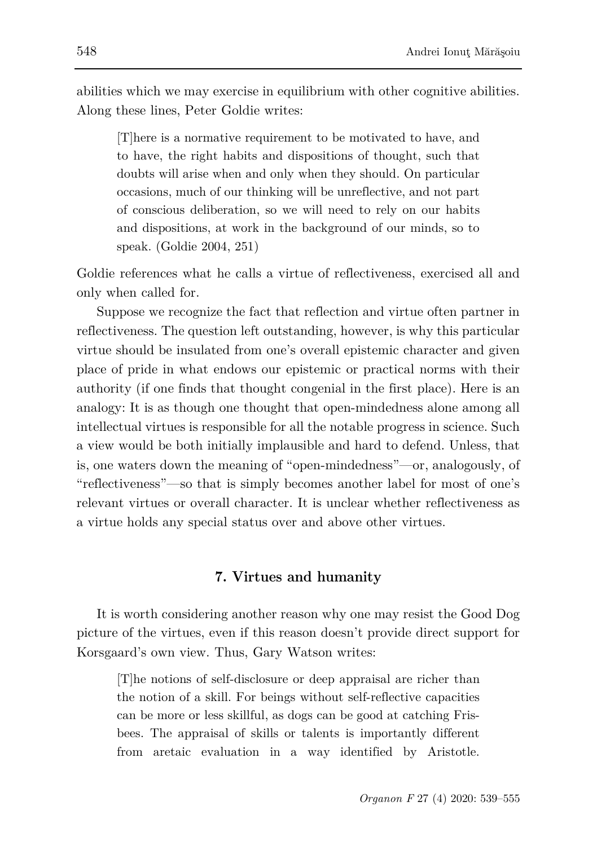abilities which we may exercise in equilibrium with other cognitive abilities. Along these lines, Peter Goldie writes:

[T]here is a normative requirement to be motivated to have, and to have, the right habits and dispositions of thought, such that doubts will arise when and only when they should. On particular occasions, much of our thinking will be unreflective, and not part of conscious deliberation, so we will need to rely on our habits and dispositions, at work in the background of our minds, so to speak. (Goldie 2004, 251)

Goldie references what he calls a virtue of reflectiveness, exercised all and only when called for.

Suppose we recognize the fact that reflection and virtue often partner in reflectiveness. The question left outstanding, however, is why this particular virtue should be insulated from one's overall epistemic character and given place of pride in what endows our epistemic or practical norms with their authority (if one finds that thought congenial in the first place). Here is an analogy: It is as though one thought that open-mindedness alone among all intellectual virtues is responsible for all the notable progress in science. Such a view would be both initially implausible and hard to defend. Unless, that is, one waters down the meaning of "open-mindedness"—or, analogously, of "reflectiveness"—so that is simply becomes another label for most of one's relevant virtues or overall character. It is unclear whether reflectiveness as a virtue holds any special status over and above other virtues.

# **7. Virtues and humanity**

It is worth considering another reason why one may resist the Good Dog picture of the virtues, even if this reason doesn't provide direct support for Korsgaard's own view. Thus, Gary Watson writes:

[T]he notions of self-disclosure or deep appraisal are richer than the notion of a skill. For beings without self-reflective capacities can be more or less skillful, as dogs can be good at catching Frisbees. The appraisal of skills or talents is importantly different from aretaic evaluation in a way identified by Aristotle.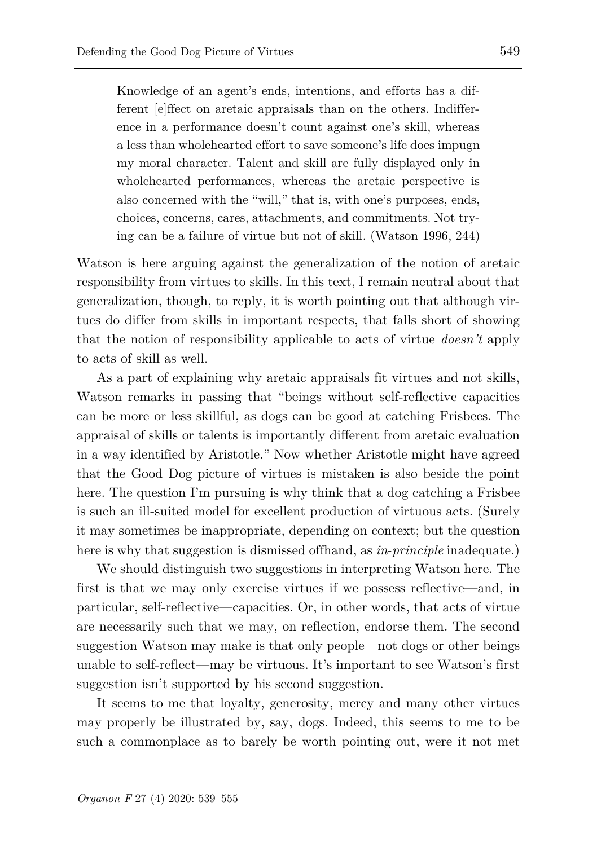Knowledge of an agent's ends, intentions, and efforts has a different [e]ffect on aretaic appraisals than on the others. Indifference in a performance doesn't count against one's skill, whereas a less than wholehearted effort to save someone's life does impugn my moral character. Talent and skill are fully displayed only in wholehearted performances, whereas the aretaic perspective is also concerned with the "will," that is, with one's purposes, ends, choices, concerns, cares, attachments, and commitments. Not trying can be a failure of virtue but not of skill. (Watson 1996, 244)

Watson is here arguing against the generalization of the notion of aretaic responsibility from virtues to skills. In this text, I remain neutral about that generalization, though, to reply, it is worth pointing out that although virtues do differ from skills in important respects, that falls short of showing that the notion of responsibility applicable to acts of virtue *doesn't* apply to acts of skill as well.

As a part of explaining why aretaic appraisals fit virtues and not skills, Watson remarks in passing that "beings without self-reflective capacities can be more or less skillful, as dogs can be good at catching Frisbees. The appraisal of skills or talents is importantly different from aretaic evaluation in a way identified by Aristotle." Now whether Aristotle might have agreed that the Good Dog picture of virtues is mistaken is also beside the point here. The question I'm pursuing is why think that a dog catching a Frisbee is such an ill-suited model for excellent production of virtuous acts. (Surely it may sometimes be inappropriate, depending on context; but the question here is why that suggestion is dismissed offhand, as *in*-*principle* inadequate.)

We should distinguish two suggestions in interpreting Watson here. The first is that we may only exercise virtues if we possess reflective—and, in particular, self-reflective—capacities. Or, in other words, that acts of virtue are necessarily such that we may, on reflection, endorse them. The second suggestion Watson may make is that only people—not dogs or other beings unable to self-reflect—may be virtuous. It's important to see Watson's first suggestion isn't supported by his second suggestion.

It seems to me that loyalty, generosity, mercy and many other virtues may properly be illustrated by, say, dogs. Indeed, this seems to me to be such a commonplace as to barely be worth pointing out, were it not met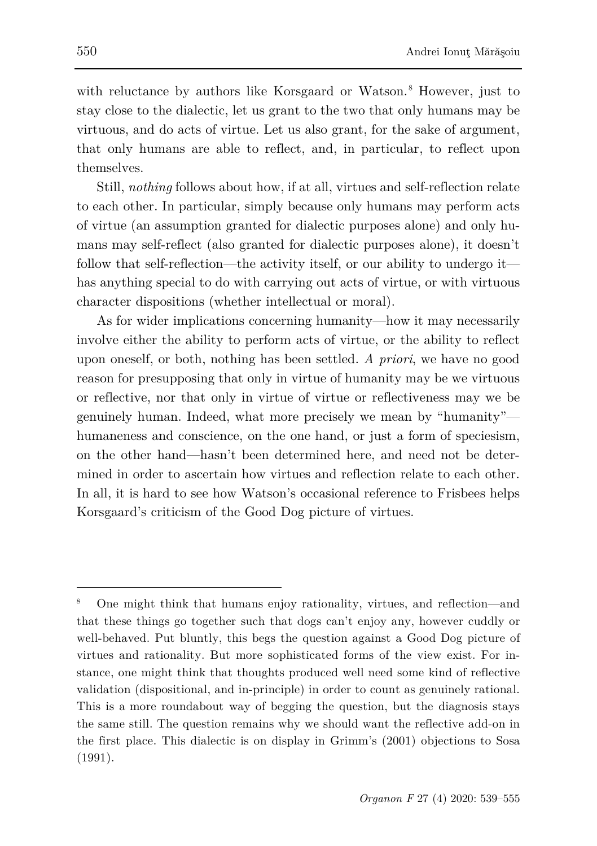with reluctance by authors like Korsgaard or Watson.<sup>[8](#page-11-0)</sup> However, just to stay close to the dialectic, let us grant to the two that only humans may be virtuous, and do acts of virtue. Let us also grant, for the sake of argument, that only humans are able to reflect, and, in particular, to reflect upon themselves.

Still, *nothing* follows about how, if at all, virtues and self-reflection relate to each other. In particular, simply because only humans may perform acts of virtue (an assumption granted for dialectic purposes alone) and only humans may self-reflect (also granted for dialectic purposes alone), it doesn't follow that self-reflection—the activity itself, or our ability to undergo it has anything special to do with carrying out acts of virtue, or with virtuous character dispositions (whether intellectual or moral).

As for wider implications concerning humanity—how it may necessarily involve either the ability to perform acts of virtue, or the ability to reflect upon oneself, or both, nothing has been settled. *A priori*, we have no good reason for presupposing that only in virtue of humanity may be we virtuous or reflective, nor that only in virtue of virtue or reflectiveness may we be genuinely human. Indeed, what more precisely we mean by "humanity" humaneness and conscience, on the one hand, or just a form of speciesism, on the other hand—hasn't been determined here, and need not be determined in order to ascertain how virtues and reflection relate to each other. In all, it is hard to see how Watson's occasional reference to Frisbees helps Korsgaard's criticism of the Good Dog picture of virtues.

<span id="page-11-0"></span><sup>8</sup> One might think that humans enjoy rationality, virtues, and reflection—and that these things go together such that dogs can't enjoy any, however cuddly or well-behaved. Put bluntly, this begs the question against a Good Dog picture of virtues and rationality. But more sophisticated forms of the view exist. For instance, one might think that thoughts produced well need some kind of reflective validation (dispositional, and in-principle) in order to count as genuinely rational. This is a more roundabout way of begging the question, but the diagnosis stays the same still. The question remains why we should want the reflective add-on in the first place. This dialectic is on display in Grimm's (2001) objections to Sosa (1991).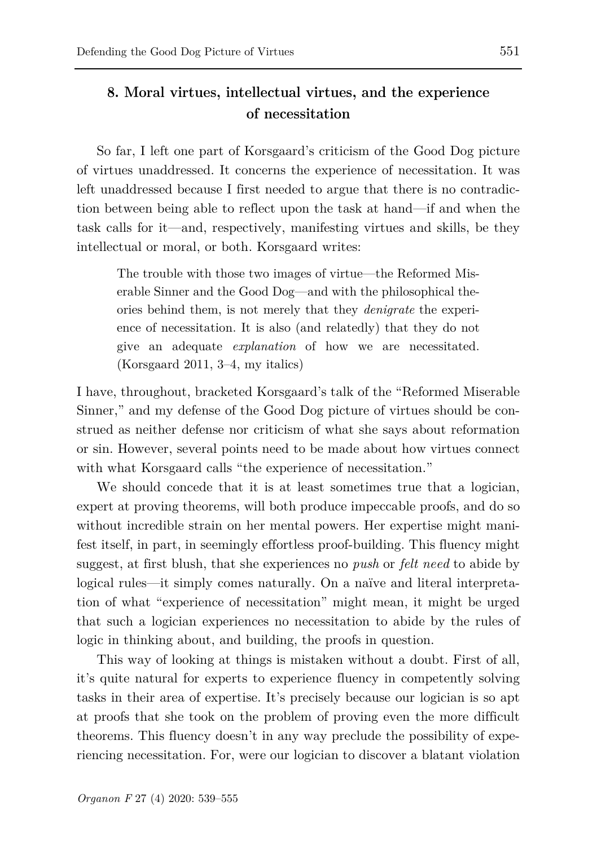# **8. Moral virtues, intellectual virtues, and the experience of necessitation**

So far, I left one part of Korsgaard's criticism of the Good Dog picture of virtues unaddressed. It concerns the experience of necessitation. It was left unaddressed because I first needed to argue that there is no contradiction between being able to reflect upon the task at hand—if and when the task calls for it—and, respectively, manifesting virtues and skills, be they intellectual or moral, or both. Korsgaard writes:

The trouble with those two images of virtue—the Reformed Miserable Sinner and the Good Dog—and with the philosophical theories behind them, is not merely that they *denigrate* the experience of necessitation. It is also (and relatedly) that they do not give an adequate *explanation* of how we are necessitated. (Korsgaard 2011, 3–4, my italics)

I have, throughout, bracketed Korsgaard's talk of the "Reformed Miserable Sinner," and my defense of the Good Dog picture of virtues should be construed as neither defense nor criticism of what she says about reformation or sin. However, several points need to be made about how virtues connect with what Korsgaard calls "the experience of necessitation."

We should concede that it is at least sometimes true that a logician, expert at proving theorems, will both produce impeccable proofs, and do so without incredible strain on her mental powers. Her expertise might manifest itself, in part, in seemingly effortless proof-building. This fluency might suggest, at first blush, that she experiences no *push* or *felt need* to abide by logical rules—it simply comes naturally. On a naïve and literal interpretation of what "experience of necessitation" might mean, it might be urged that such a logician experiences no necessitation to abide by the rules of logic in thinking about, and building, the proofs in question.

This way of looking at things is mistaken without a doubt. First of all, it's quite natural for experts to experience fluency in competently solving tasks in their area of expertise. It's precisely because our logician is so apt at proofs that she took on the problem of proving even the more difficult theorems. This fluency doesn't in any way preclude the possibility of experiencing necessitation. For, were our logician to discover a blatant violation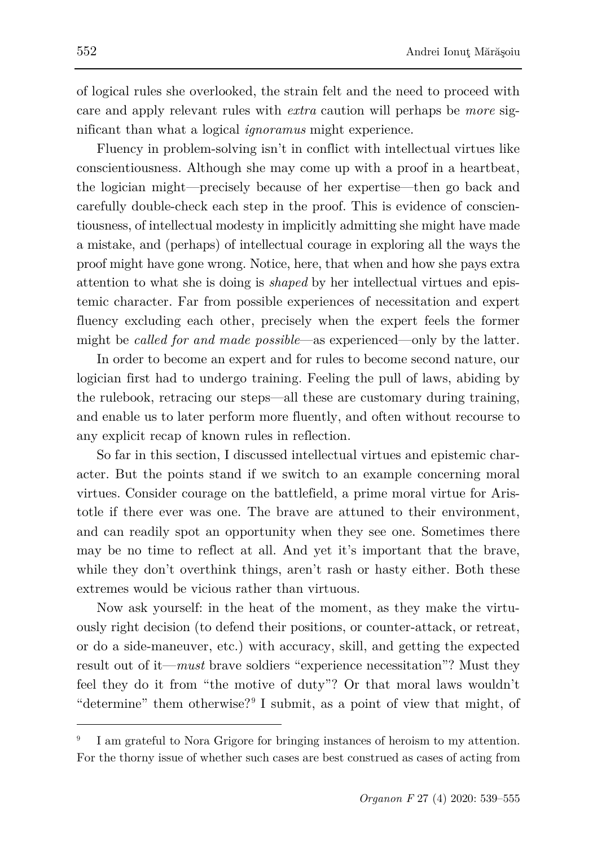of logical rules she overlooked, the strain felt and the need to proceed with care and apply relevant rules with *extra* caution will perhaps be *more* significant than what a logical *ignoramus* might experience.

Fluency in problem-solving isn't in conflict with intellectual virtues like conscientiousness. Although she may come up with a proof in a heartbeat, the logician might—precisely because of her expertise—then go back and carefully double-check each step in the proof. This is evidence of conscientiousness, of intellectual modesty in implicitly admitting she might have made a mistake, and (perhaps) of intellectual courage in exploring all the ways the proof might have gone wrong. Notice, here, that when and how she pays extra attention to what she is doing is *shaped* by her intellectual virtues and epistemic character. Far from possible experiences of necessitation and expert fluency excluding each other, precisely when the expert feels the former might be *called for and made possible*—as experienced—only by the latter.

In order to become an expert and for rules to become second nature, our logician first had to undergo training. Feeling the pull of laws, abiding by the rulebook, retracing our steps—all these are customary during training, and enable us to later perform more fluently, and often without recourse to any explicit recap of known rules in reflection.

So far in this section, I discussed intellectual virtues and epistemic character. But the points stand if we switch to an example concerning moral virtues. Consider courage on the battlefield, a prime moral virtue for Aristotle if there ever was one. The brave are attuned to their environment, and can readily spot an opportunity when they see one. Sometimes there may be no time to reflect at all. And yet it's important that the brave, while they don't overthink things, aren't rash or hasty either. Both these extremes would be vicious rather than virtuous.

Now ask yourself: in the heat of the moment, as they make the virtuously right decision (to defend their positions, or counter-attack, or retreat, or do a side-maneuver, etc.) with accuracy, skill, and getting the expected result out of it—*must* brave soldiers "experience necessitation"? Must they feel they do it from "the motive of duty"? Or that moral laws wouldn't "determine" them otherwise?<sup>[9](#page-13-0)</sup> I submit, as a point of view that might, of

<span id="page-13-0"></span>I am grateful to Nora Grigore for bringing instances of heroism to my attention. For the thorny issue of whether such cases are best construed as cases of acting from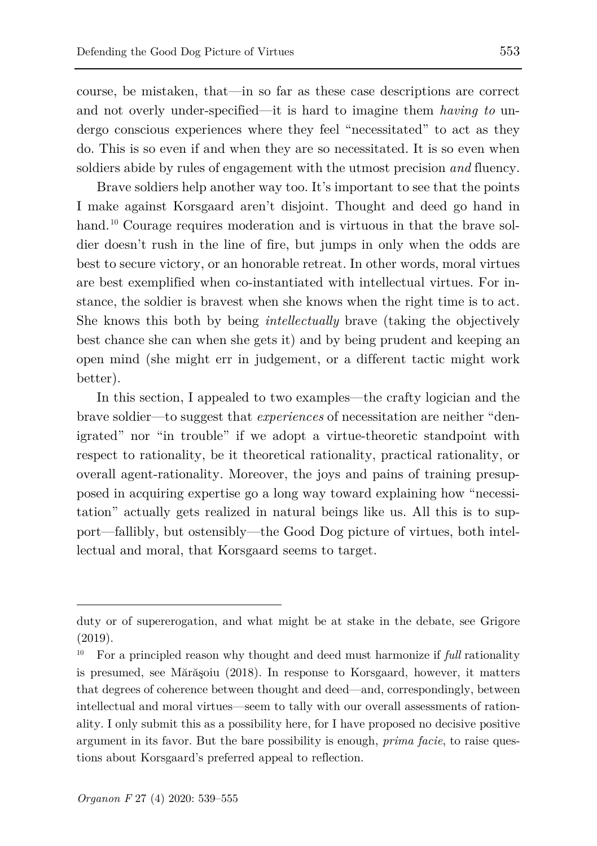course, be mistaken, that—in so far as these case descriptions are correct and not overly under-specified—it is hard to imagine them *having to* undergo conscious experiences where they feel "necessitated" to act as they do. This is so even if and when they are so necessitated. It is so even when soldiers abide by rules of engagement with the utmost precision *and* fluency.

Brave soldiers help another way too. It's important to see that the points I make against Korsgaard aren't disjoint. Thought and deed go hand in hand.<sup>[10](#page-14-0)</sup> Courage requires moderation and is virtuous in that the brave soldier doesn't rush in the line of fire, but jumps in only when the odds are best to secure victory, or an honorable retreat. In other words, moral virtues are best exemplified when co-instantiated with intellectual virtues. For instance, the soldier is bravest when she knows when the right time is to act. She knows this both by being *intellectually* brave (taking the objectively best chance she can when she gets it) and by being prudent and keeping an open mind (she might err in judgement, or a different tactic might work better).

In this section, I appealed to two examples—the crafty logician and the brave soldier—to suggest that *experiences* of necessitation are neither "denigrated" nor "in trouble" if we adopt a virtue-theoretic standpoint with respect to rationality, be it theoretical rationality, practical rationality, or overall agent-rationality. Moreover, the joys and pains of training presupposed in acquiring expertise go a long way toward explaining how "necessitation" actually gets realized in natural beings like us. All this is to support—fallibly, but ostensibly—the Good Dog picture of virtues, both intellectual and moral, that Korsgaard seems to target.

duty or of supererogation, and what might be at stake in the debate, see Grigore (2019).

<span id="page-14-0"></span><sup>&</sup>lt;sup>10</sup> For a principled reason why thought and deed must harmonize if *full* rationality is presumed, see Mărăşoiu (2018). In response to Korsgaard, however, it matters that degrees of coherence between thought and deed—and, correspondingly, between intellectual and moral virtues—seem to tally with our overall assessments of rationality. I only submit this as a possibility here, for I have proposed no decisive positive argument in its favor. But the bare possibility is enough, *prima facie*, to raise questions about Korsgaard's preferred appeal to reflection.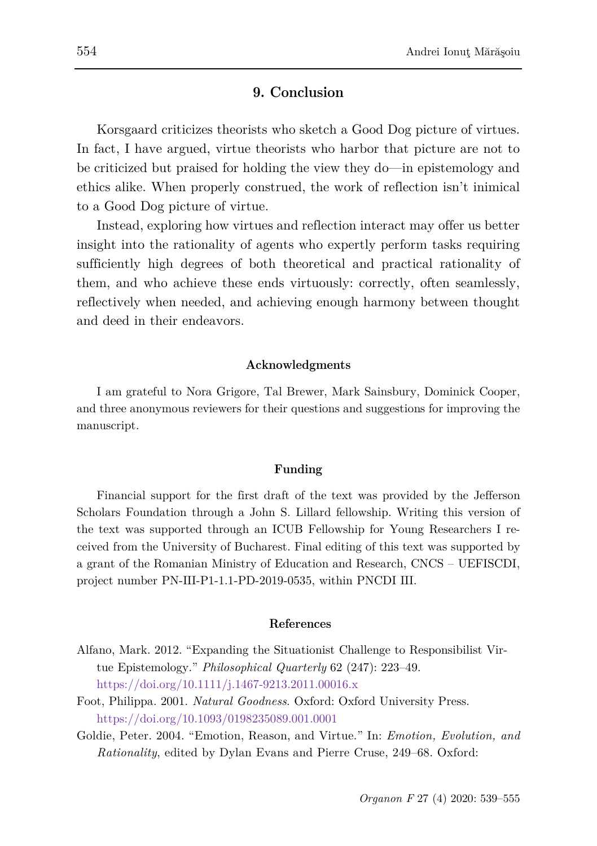# **9. Conclusion**

Korsgaard criticizes theorists who sketch a Good Dog picture of virtues. In fact, I have argued, virtue theorists who harbor that picture are not to be criticized but praised for holding the view they do—in epistemology and ethics alike. When properly construed, the work of reflection isn't inimical to a Good Dog picture of virtue.

Instead, exploring how virtues and reflection interact may offer us better insight into the rationality of agents who expertly perform tasks requiring sufficiently high degrees of both theoretical and practical rationality of them, and who achieve these ends virtuously: correctly, often seamlessly, reflectively when needed, and achieving enough harmony between thought and deed in their endeavors.

#### **Acknowledgments**

I am grateful to Nora Grigore, Tal Brewer, Mark Sainsbury, Dominick Cooper, and three anonymous reviewers for their questions and suggestions for improving the manuscript.

#### **Funding**

Financial support for the first draft of the text was provided by the Jefferson Scholars Foundation through a John S. Lillard fellowship. Writing this version of the text was supported through an ICUB Fellowship for Young Researchers I received from the University of Bucharest. Final editing of this text was supported by a grant of the Romanian Ministry of Education and Research, CNCS – UEFISCDI, project number PN-III-P1-1.1-PD-2019-0535, within PNCDI III.

#### **References**

- Alfano, Mark. 2012. "Expanding the Situationist Challenge to Responsibilist Virtue Epistemology." *Philosophical Quarterly* 62 (247): 223–49. <https://doi.org/10.1111/j.1467-9213.2011.00016.x>
- Foot, Philippa. 2001. *Natural Goodness*. Oxford: Oxford University Press. <https://doi.org/10.1093/0198235089.001.0001>
- Goldie, Peter. 2004. "Emotion, Reason, and Virtue." In: *Emotion, Evolution, and Rationality*, edited by Dylan Evans and Pierre Cruse, 249–68. Oxford: